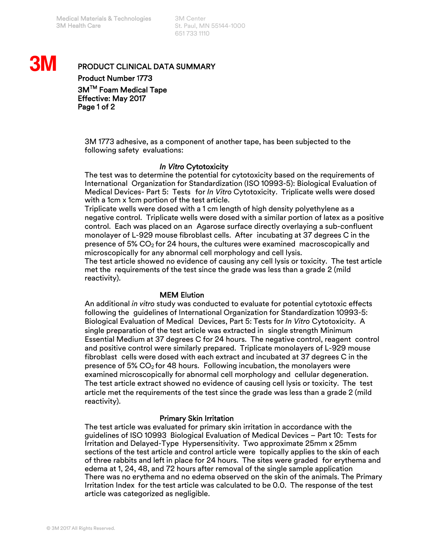3M Center St. Paul, MN 55144-1000 651 733 1110

# **3M**

# PRODUCT CLINICAL DATA SUMMARY

Product Number 1773 3M<sup>™</sup> Foam Medical Tape Effective: May 2017 Page 1 of 2

3M 1773 adhesive, as a component of another tape, has been subjected to the following safety evaluations:

## *In Vitro* Cytotoxicity

The test was to determine the potential for cytotoxicity based on the requirements of International Organization for Standardization (ISO 10993-5): Biological Evaluation of Medical Devices- Part 5: Tests for *In Vitro* Cytotoxicity. Triplicate wells were dosed with a 1cm x 1cm portion of the test article.

Triplicate wells were dosed with a 1 cm length of high density polyethylene as a negative control. Triplicate wells were dosed with a similar portion of latex as a positive control. Each was placed on an Agarose surface directly overlaying a sub-confluent monolayer of L-929 mouse fibroblast cells. After incubating at 37 degrees C in the presence of 5%  $CO<sub>2</sub>$  for 24 hours, the cultures were examined macroscopically and microscopically for any abnormal cell morphology and cell lysis.

The test article showed no evidence of causing any cell lysis or toxicity. The test article met the requirements of the test since the grade was less than a grade 2 (mild reactivity).

# MEM Elution

An additional *in vitro* study was conducted to evaluate for potential cytotoxic effects following the guidelines of International Organization for Standardization 10993-5: Biological Evaluation of Medical Devices, Part 5: Tests for *In Vitro* Cytotoxicity. A single preparation of the test article was extracted in single strength Minimum Essential Medium at 37 degrees C for 24 hours. The negative control, reagent control and positive control were similarly prepared. Triplicate monolayers of L-929 mouse fibroblast cells were dosed with each extract and incubated at 37 degrees C in the presence of 5%  $CO<sub>2</sub>$  for 48 hours. Following incubation, the monolayers were examined microscopically for abnormal cell morphology and cellular degeneration. The test article extract showed no evidence of causing cell lysis or toxicity. The test article met the requirements of the test since the grade was less than a grade 2 (mild reactivity).

#### Primary Skin Irritation

The test article was evaluated for primary skin irritation in accordance with the guidelines of ISO 10993 Biological Evaluation of Medical Devices – Part 10: Tests for Irritation and Delayed-Type Hypersensitivity. Two approximate 25mm x 25mm sections of the test article and control article were topically applies to the skin of each of three rabbits and left in place for 24 hours. The sites were graded for erythema and edema at 1, 24, 48, and 72 hours after removal of the single sample application There was no erythema and no edema observed on the skin of the animals. The Primary Irritation Index for the test article was calculated to be 0.0. The response of the test article was categorized as negligible.